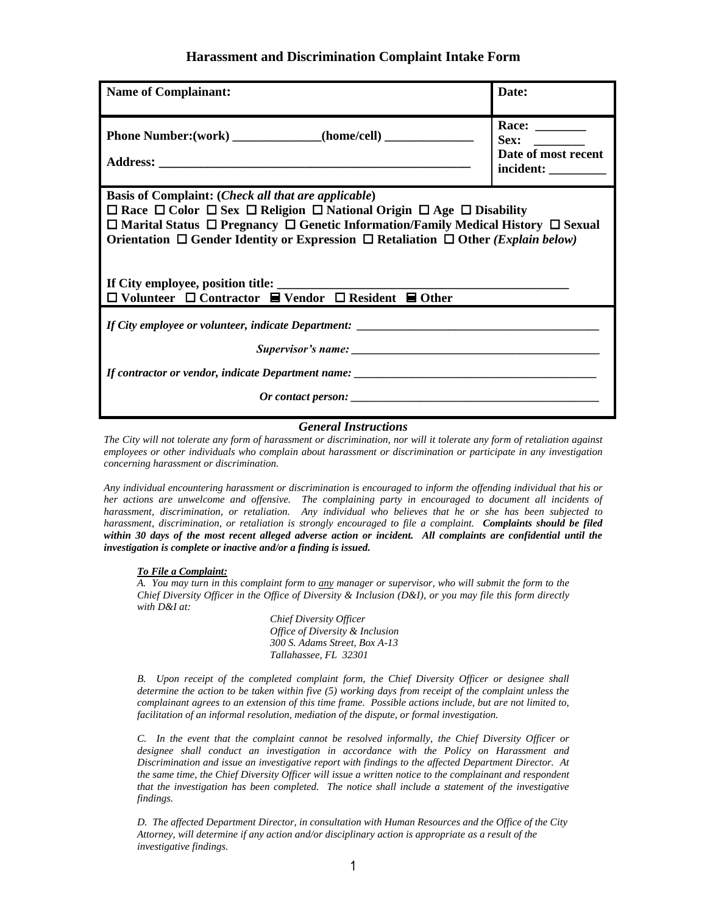## **Harassment and Discrimination Complaint Intake Form**

| <b>Name of Complainant:</b>                                                                                                                                                                                                                                                                                                                                                                                                                                          | Date:                                                                              |
|----------------------------------------------------------------------------------------------------------------------------------------------------------------------------------------------------------------------------------------------------------------------------------------------------------------------------------------------------------------------------------------------------------------------------------------------------------------------|------------------------------------------------------------------------------------|
|                                                                                                                                                                                                                                                                                                                                                                                                                                                                      | Race: $\_\_$<br>Sex: $\qquad \qquad$<br>Date of most recent<br>incident: _________ |
| <b>Basis of Complaint: (Check all that are applicable)</b><br>$\Box$ Race $\Box$ Color $\Box$ Sex $\Box$ Religion $\Box$ National Origin $\Box$ Age $\Box$ Disability<br>$\Box$ Marital Status $\Box$ Pregnancy $\Box$ Genetic Information/Family Medical History $\Box$ Sexual<br>Orientation $\Box$ Gender Identity or Expression $\Box$ Retaliation $\Box$ Other (Explain below)<br>$\Box$ Volunteer $\Box$ Contractor $\Box$ Vendor $\Box$ Resident $\Box$ Other |                                                                                    |
| If contractor or vendor, indicate Department name: _____________________________                                                                                                                                                                                                                                                                                                                                                                                     |                                                                                    |

## *General Instructions*

 *The City will not tolerate any form of harassment or discrimination, nor will it tolerate any form of retaliation against concerning harassment or discrimination. employees or other individuals who complain about harassment or discrimination or participate in any investigation* 

 *within 30 days of the most recent alleged adverse action or incident. All complaints are confidential until the investigation is complete or inactive and/or a finding is issued. concerning harassment or discrimination. Any individual encountering harassment or discrimination is encouraged to inform the offending individual that his or her actions are unwelcome and offensive. The complaining party in encouraged to document all incidents of harassment, discrimination, or retaliation. Any individual who believes that he or she has been subjected to harassment, discrimination, or retaliation is strongly encouraged to file a complaint. Complaints should be filed* 

## *To File a Complaint:*

 *A. You may turn in this complaint form to any manager or supervisor, who will submit the form to the Chief Diversity Officer in the Office of Diversity & Inclusion (D&I), or you may file this form directly with D&I at:* 

> *Office of Diversity & Inclusion Tallahassee, FL 32301 Chief Diversity Officer 300 S. Adams Street, Box A-13*

 *B. Upon receipt of the completed complaint form, the Chief Diversity Officer or designee shall determine the action to be taken within five (5) working days from receipt of the complaint unless the complainant agrees to an extension of this time frame. Possible actions include, but are not limited to,*  facilitation of an informal resolution, mediation of the dispute, or formal investigation.

 *C. In the event that the complaint cannot be resolved informally, the Chief Diversity Officer or Discrimination and issue an investigative report with findings to the affected Department Director. At the same time, the Chief Diversity Officer will issue a written notice to the complainant and respondent that the investigation has been completed. The notice shall include a statement of the investigative designee shall conduct an investigation in accordance with the Policy on Harassment and findings.* 

 *D. The affected Department Director, in consultation with Human Resources and the Office of the City Attorney, will determine if any action and/or disciplinary action is appropriate as a result of the investigative findings.*